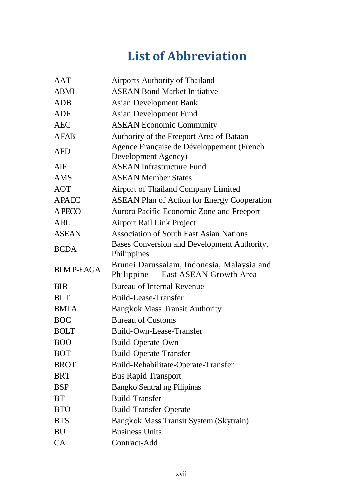## **List of Abbreviation**

| <b>AAT</b>       | <b>Airports Authority of Thailand</b>                                             |
|------------------|-----------------------------------------------------------------------------------|
| <b>ABMI</b>      | <b>ASEAN Bond Market Initiative</b>                                               |
| <b>ADB</b>       | <b>Asian Development Bank</b>                                                     |
| <b>ADF</b>       | <b>Asian Development Fund</b>                                                     |
| <b>AEC</b>       | <b>ASEAN Economic Community</b>                                                   |
| <b>AFAB</b>      | Authority of the Freeport Area of Bataan                                          |
| <b>AFD</b>       | Agence Française de Développement (French<br>Development Agency)                  |
| AIF              | <b>ASEAN Infrastructure Fund</b>                                                  |
| <b>AMS</b>       | <b>ASEAN Member States</b>                                                        |
| <b>AOT</b>       | <b>Airport of Thailand Company Limited</b>                                        |
| <b>APAEC</b>     | <b>ASEAN Plan of Action for Energy Cooperation</b>                                |
| A PECO           | Aurora Pacific Economic Zone and Freeport                                         |
| <b>ARL</b>       | <b>Airport Rail Link Project</b>                                                  |
| <b>ASEAN</b>     | <b>Association of South East Asian Nations</b>                                    |
| <b>BCDA</b>      | Bases Conversion and Development Authority,<br>Philippines                        |
| <b>BIMP-EAGA</b> | Brunei Darussalam, Indonesia, Malaysia and<br>Philippine — East ASEAN Growth Area |
| <b>BIR</b>       | <b>Bureau of Internal Revenue</b>                                                 |
| <b>BLT</b>       | <b>Build-Lease-Transfer</b>                                                       |
| <b>BMTA</b>      | <b>Bangkok Mass Transit Authority</b>                                             |
| <b>BOC</b>       | <b>Bureau of Customs</b>                                                          |
| <b>BOLT</b>      | Build-Own-Lease-Transfer                                                          |
| <b>BOO</b>       | Build-Operate-Own                                                                 |
| <b>BOT</b>       | <b>Build-Operate-Transfer</b>                                                     |
| <b>BROT</b>      | Build-Rehabilitate-Operate-Transfer                                               |
| <b>BRT</b>       | <b>Bus Rapid Transport</b>                                                        |
| <b>BSP</b>       | Bangko Sentral ng Pilipinas                                                       |
| <b>BT</b>        | <b>Build-Transfer</b>                                                             |
| <b>BTO</b>       | <b>Build-Transfer-Operate</b>                                                     |
| <b>BTS</b>       | Bangkok Mass Transit System (Skytrain)                                            |
| BU               | <b>Business Units</b>                                                             |
| <b>CA</b>        | Contract-Add                                                                      |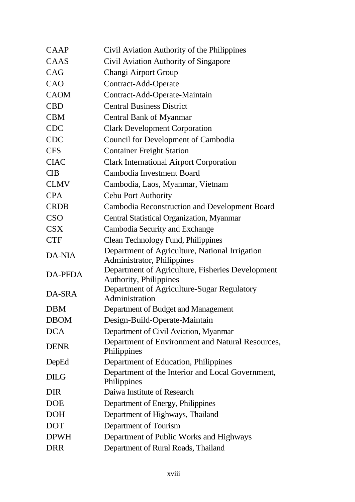| CAAP            | Civil Aviation Authority of the Philippines                                  |
|-----------------|------------------------------------------------------------------------------|
| CAAS            | Civil Aviation Authority of Singapore                                        |
| CAG             | Changi Airport Group                                                         |
| CAO             | Contract-Add-Operate                                                         |
| <b>CAOM</b>     | Contract-Add-Operate-Maintain                                                |
| <b>CBD</b>      | <b>Central Business District</b>                                             |
| <b>CBM</b>      | <b>Central Bank of Myanmar</b>                                               |
| <b>CDC</b>      | <b>Clark Development Corporation</b>                                         |
| <b>CDC</b>      | Council for Development of Cambodia                                          |
| <b>CFS</b>      | <b>Container Freight Station</b>                                             |
| <b>CIAC</b>     | <b>Clark International Airport Corporation</b>                               |
| $\overline{CB}$ | Cambodia Investment Board                                                    |
| <b>CLMV</b>     | Cambodia, Laos, Myanmar, Vietnam                                             |
| <b>CPA</b>      | Cebu Port Authority                                                          |
| <b>CRDB</b>     | <b>Cambodia Reconstruction and Development Board</b>                         |
| <b>CSO</b>      | Central Statistical Organization, Myanmar                                    |
| <b>CSX</b>      | Cambodia Security and Exchange                                               |
| <b>CTF</b>      | <b>Clean Technology Fund, Philippines</b>                                    |
| <b>DA-NIA</b>   | Department of Agriculture, National Irrigation<br>Administrator, Philippines |
| DA-PFDA         | Department of Agriculture, Fisheries Development<br>Authority, Philippines   |
| DA-SRA          | Department of Agriculture-Sugar Regulatory<br>Administration                 |
| <b>DBM</b>      | Department of Budget and Management                                          |
| <b>DBOM</b>     | Design-Build-Operate-Maintain                                                |
| <b>DCA</b>      | Department of Civil Aviation, Myanmar                                        |
| <b>DENR</b>     | Department of Environment and Natural Resources,<br>Philippines              |
| DepEd           | Department of Education, Philippines                                         |
| <b>DILG</b>     | Department of the Interior and Local Government,<br>Philippines              |
| <b>DIR</b>      | Daiwa Institute of Research                                                  |
| <b>DOE</b>      | Department of Energy, Philippines                                            |
| <b>DOH</b>      | Department of Highways, Thailand                                             |
| <b>DOT</b>      | Department of Tourism                                                        |
| <b>DPWH</b>     | Department of Public Works and Highways                                      |
| <b>DRR</b>      | Department of Rural Roads, Thailand                                          |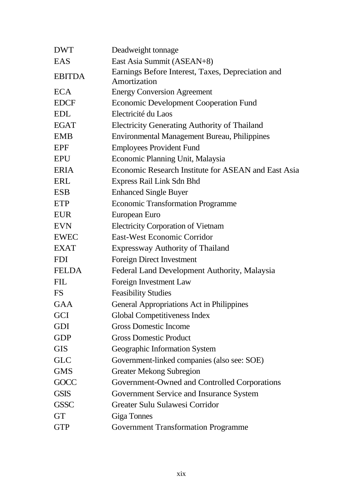| <b>DWT</b>    | Deadweight tonnage                                                |
|---------------|-------------------------------------------------------------------|
| EAS           | East Asia Summit (ASEAN+8)                                        |
| <b>EBITDA</b> | Earnings Before Interest, Taxes, Depreciation and<br>Amortization |
| <b>ECA</b>    | <b>Energy Conversion Agreement</b>                                |
| <b>EDCF</b>   | <b>Economic Development Cooperation Fund</b>                      |
| <b>EDL</b>    | Electricité du Laos                                               |
| <b>EGAT</b>   | <b>Electricity Generating Authority of Thailand</b>               |
| <b>EMB</b>    | <b>Environmental Management Bureau, Philippines</b>               |
| <b>EPF</b>    | <b>Employees Provident Fund</b>                                   |
| <b>EPU</b>    | Economic Planning Unit, Malaysia                                  |
| <b>ERIA</b>   | Economic Research Institute for ASEAN and East Asia               |
| ERL           | Express Rail Link Sdn Bhd                                         |
| <b>ESB</b>    | <b>Enhanced Single Buyer</b>                                      |
| ETP           | <b>Economic Transformation Programme</b>                          |
| <b>EUR</b>    | European Euro                                                     |
| <b>EVN</b>    | <b>Electricity Corporation of Vietnam</b>                         |
| <b>EWEC</b>   | <b>East-West Economic Corridor</b>                                |
| <b>EXAT</b>   | <b>Expressway Authority of Thailand</b>                           |
| <b>FDI</b>    | <b>Foreign Direct Investment</b>                                  |
| <b>FELDA</b>  | Federal Land Development Authority, Malaysia                      |
| <b>FIL</b>    | Foreign Investment Law                                            |
| <b>FS</b>     | <b>Feasibility Studies</b>                                        |
| <b>GAA</b>    | <b>General Appropriations Act in Philippines</b>                  |
| <b>GCI</b>    | Global Competitiveness Index                                      |
| <b>GDI</b>    | <b>Gross Domestic Income</b>                                      |
| <b>GDP</b>    | <b>Gross Domestic Product</b>                                     |
| <b>GIS</b>    | Geographic Information System                                     |
| <b>GLC</b>    | Government-linked companies (also see: SOE)                       |
| <b>GMS</b>    | <b>Greater Mekong Subregion</b>                                   |
| <b>GOCC</b>   | Government-Owned and Controlled Corporations                      |
| <b>GSIS</b>   | Government Service and Insurance System                           |
| <b>GSSC</b>   | Greater Sulu Sulawesi Corridor                                    |
| <b>GT</b>     | <b>Giga Tonnes</b>                                                |
| <b>GTP</b>    | <b>Government Transformation Programme</b>                        |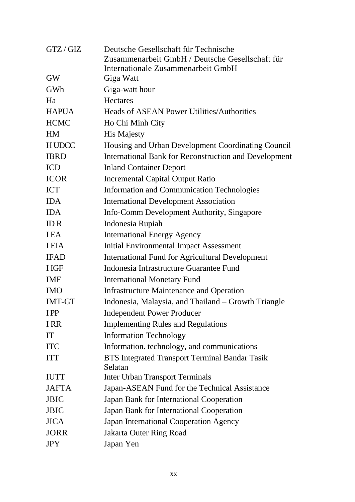| GTZ / GIZ     | Deutsche Gesellschaft für Technische                         |
|---------------|--------------------------------------------------------------|
|               | Zusammenarbeit GmbH / Deutsche Gesellschaft für              |
| <b>GW</b>     | Internationale Zusammenarbeit GmbH<br>Giga Watt              |
| GWh           | Giga-watt hour                                               |
| Ha            | <b>Hectares</b>                                              |
| <b>HAPUA</b>  | <b>Heads of ASEAN Power Utilities/Authorities</b>            |
| <b>HCMC</b>   | Ho Chi Minh City                                             |
| <b>HM</b>     | <b>His Majesty</b>                                           |
| <b>HUDCC</b>  | Housing and Urban Development Coordinating Council           |
| <b>IBRD</b>   | <b>International Bank for Reconstruction and Development</b> |
| <b>ICD</b>    | <b>Inland Container Deport</b>                               |
| <b>ICOR</b>   | <b>Incremental Capital Output Ratio</b>                      |
| <b>ICT</b>    | <b>Information and Communication Technologies</b>            |
| <b>IDA</b>    | <b>International Development Association</b>                 |
| <b>IDA</b>    | Info-Comm Development Authority, Singapore                   |
| IDR           | Indonesia Rupiah                                             |
| <b>IEA</b>    | <b>International Energy Agency</b>                           |
| <b>I EIA</b>  | <b>Initial Environmental Impact Assessment</b>               |
| <b>IFAD</b>   | <b>International Fund for Agricultural Development</b>       |
| <b>I</b> IGF  | Indonesia Infrastructure Guarantee Fund                      |
| <b>IMF</b>    | <b>International Monetary Fund</b>                           |
| <b>IMO</b>    | <b>Infrastructure Maintenance and Operation</b>              |
| <b>IMT-GT</b> | Indonesia, Malaysia, and Thailand – Growth Triangle          |
| <b>IPP</b>    | <b>Independent Power Producer</b>                            |
| <b>IRR</b>    | <b>Implementing Rules and Regulations</b>                    |
| IT            | <b>Information Technology</b>                                |
| <b>ITC</b>    | Information. technology, and communications                  |
| <b>ITT</b>    | BTS Integrated Transport Terminal Bandar Tasik<br>Selatan    |
| <b>IUTT</b>   | <b>Inter Urban Transport Terminals</b>                       |
| <b>JAFTA</b>  | Japan-ASEAN Fund for the Technical Assistance                |
| <b>JBIC</b>   | Japan Bank for International Cooperation                     |
| <b>JBIC</b>   | Japan Bank for International Cooperation                     |
| <b>JICA</b>   | Japan International Cooperation Agency                       |
| <b>JORR</b>   | <b>Jakarta Outer Ring Road</b>                               |
| <b>JPY</b>    | Japan Yen                                                    |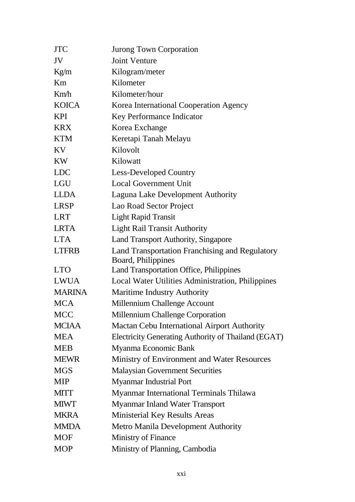| <b>JTC</b>    | Jurong Town Corporation                                              |
|---------------|----------------------------------------------------------------------|
| JV            | <b>Joint Venture</b>                                                 |
| Kg/m          | Kilogram/meter                                                       |
| Km            | Kilometer                                                            |
| Km/h          | Kilometer/hour                                                       |
| <b>KOICA</b>  | Korea International Cooperation Agency                               |
| <b>KPI</b>    | Key Performance Indicator                                            |
| <b>KRX</b>    | Korea Exchange                                                       |
| <b>KTM</b>    | Keretapi Tanah Melayu                                                |
| KV            | Kilovolt                                                             |
| <b>KW</b>     | Kilowatt                                                             |
| <b>LDC</b>    | <b>Less-Developed Country</b>                                        |
| <b>LGU</b>    | <b>Local Government Unit</b>                                         |
| <b>LLDA</b>   | Laguna Lake Development Authority                                    |
| <b>LRSP</b>   | Lao Road Sector Project                                              |
| <b>LRT</b>    | <b>Light Rapid Transit</b>                                           |
| <b>LRTA</b>   | <b>Light Rail Transit Authority</b>                                  |
| <b>LTA</b>    | Land Transport Authority, Singapore                                  |
| <b>LTFRB</b>  | Land Transportation Franchising and Regulatory<br>Board, Philippines |
| <b>LTO</b>    | Land Transportation Office, Philippines                              |
| <b>LWUA</b>   | Local Water Utilities Administration, Philippines                    |
| <b>MARINA</b> | <b>Maritime Industry Authority</b>                                   |
| <b>MCA</b>    | Millennium Challenge Account                                         |
| <b>MCC</b>    | <b>Millennium Challenge Corporation</b>                              |
| <b>MCIAA</b>  | Mactan Cebu International Airport Authority                          |
| <b>MEA</b>    | Electricity Generating Authority of Thailand (EGAT)                  |
| <b>MEB</b>    | Myanma Economic Bank                                                 |
| <b>MEWR</b>   | Ministry of Environment and Water Resources                          |
| <b>MGS</b>    | <b>Malaysian Government Securities</b>                               |
| <b>MIP</b>    | <b>Myanmar Industrial Port</b>                                       |
| <b>MITT</b>   | Myanmar International Terminals Thilawa                              |
| <b>MIWT</b>   | <b>Myanmar Inland Water Transport</b>                                |
| <b>MKRA</b>   | Ministerial Key Results Areas                                        |
| <b>MMDA</b>   | Metro Manila Development Authority                                   |
| <b>MOF</b>    | <b>Ministry of Finance</b>                                           |
| <b>MOP</b>    | Ministry of Planning, Cambodia                                       |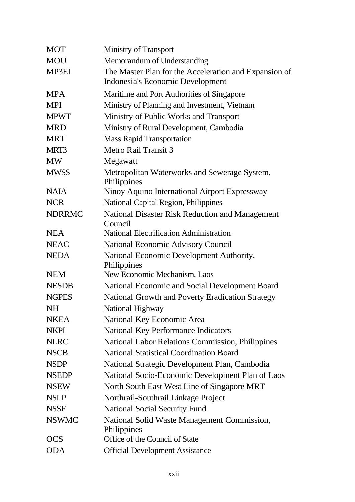| <b>MOT</b>    | <b>Ministry of Transport</b>                                                              |
|---------------|-------------------------------------------------------------------------------------------|
| <b>MOU</b>    | Memorandum of Understanding                                                               |
| <b>MP3EI</b>  | The Master Plan for the Acceleration and Expansion of<br>Indonesia's Economic Development |
| <b>MPA</b>    | Maritime and Port Authorities of Singapore                                                |
| <b>MPI</b>    | Ministry of Planning and Investment, Vietnam                                              |
| <b>MPWT</b>   | Ministry of Public Works and Transport                                                    |
| <b>MRD</b>    | Ministry of Rural Development, Cambodia                                                   |
| <b>MRT</b>    | <b>Mass Rapid Transportation</b>                                                          |
| MRT3          | <b>Metro Rail Transit 3</b>                                                               |
| <b>MW</b>     | Megawatt                                                                                  |
| <b>MWSS</b>   | Metropolitan Waterworks and Sewerage System,<br>Philippines                               |
| <b>NAIA</b>   | Ninoy Aquino International Airport Expressway                                             |
| <b>NCR</b>    | National Capital Region, Philippines                                                      |
| <b>NDRRMC</b> | National Disaster Risk Reduction and Management<br>Council                                |
| <b>NEA</b>    | <b>National Electrification Administration</b>                                            |
| <b>NEAC</b>   | <b>National Economic Advisory Council</b>                                                 |
| <b>NEDA</b>   | National Economic Development Authority,<br>Philippines                                   |
| <b>NEM</b>    | New Economic Mechanism, Laos                                                              |
| <b>NESDB</b>  | National Economic and Social Development Board                                            |
| <b>NGPES</b>  | National Growth and Poverty Eradication Strategy                                          |
| <b>NH</b>     | National Highway                                                                          |
| <b>NKEA</b>   | National Key Economic Area                                                                |
| <b>NKPI</b>   | <b>National Key Performance Indicators</b>                                                |
| <b>NLRC</b>   | National Labor Relations Commission, Philippines                                          |
| <b>NSCB</b>   | <b>National Statistical Coordination Board</b>                                            |
| <b>NSDP</b>   | National Strategic Development Plan, Cambodia                                             |
| <b>NSEDP</b>  | National Socio-Economic Development Plan of Laos                                          |
| <b>NSEW</b>   | North South East West Line of Singapore MRT                                               |
| <b>NSLP</b>   | Northrail-Southrail Linkage Project                                                       |
| <b>NSSF</b>   | <b>National Social Security Fund</b>                                                      |
| <b>NSWMC</b>  | National Solid Waste Management Commission,<br>Philippines                                |
| <b>OCS</b>    | Office of the Council of State                                                            |
| <b>ODA</b>    | <b>Official Development Assistance</b>                                                    |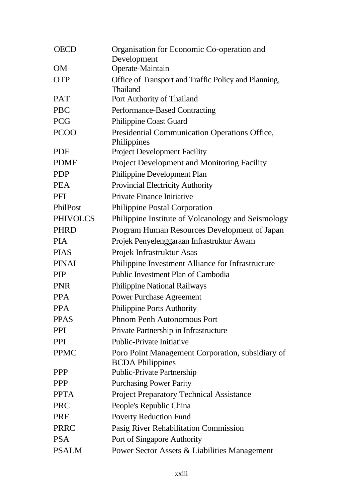| <b>OECD</b>     | Organisation for Economic Co-operation and                       |
|-----------------|------------------------------------------------------------------|
| <b>OM</b>       | Development<br>Operate-Maintain                                  |
|                 |                                                                  |
| <b>OTP</b>      | Office of Transport and Traffic Policy and Planning,<br>Thailand |
| <b>PAT</b>      | Port Authority of Thailand                                       |
| <b>PBC</b>      | Performance-Based Contracting                                    |
| <b>PCG</b>      | <b>Philippine Coast Guard</b>                                    |
| <b>PCOO</b>     | Presidential Communication Operations Office,                    |
|                 | Philippines                                                      |
| <b>PDF</b>      | <b>Project Development Facility</b>                              |
| <b>PDMF</b>     | <b>Project Development and Monitoring Facility</b>               |
| <b>PDP</b>      | Philippine Development Plan                                      |
| <b>PEA</b>      | <b>Provincial Electricity Authority</b>                          |
| <b>PFI</b>      | Private Finance Initiative                                       |
| PhilPost        | <b>Philippine Postal Corporation</b>                             |
| <b>PHIVOLCS</b> | Philippine Institute of Volcanology and Seismology               |
| <b>PHRD</b>     | Program Human Resources Development of Japan                     |
| <b>PIA</b>      | Projek Penyelenggaraan Infrastruktur Awam                        |
| <b>PIAS</b>     | Projek Infrastruktur Asas                                        |
| <b>PINAI</b>    | Philippine Investment Alliance for Infrastructure                |
| <b>PIP</b>      | Public Investment Plan of Cambodia                               |
| <b>PNR</b>      | <b>Philippine National Railways</b>                              |
| <b>PPA</b>      | <b>Power Purchase Agreement</b>                                  |
| <b>PPA</b>      | <b>Philippine Ports Authority</b>                                |
| <b>PPAS</b>     | <b>Phnom Penh Autonomous Port</b>                                |
| <b>PPI</b>      | Private Partnership in Infrastructure                            |
| <b>PPI</b>      | <b>Public-Private Initiative</b>                                 |
| <b>PPMC</b>     | Poro Point Management Corporation, subsidiary of                 |
|                 | <b>BCDA</b> Philippines                                          |
| <b>PPP</b>      | <b>Public-Private Partnership</b>                                |
| <b>PPP</b>      | <b>Purchasing Power Parity</b>                                   |
| <b>PPTA</b>     | <b>Project Preparatory Technical Assistance</b>                  |
| <b>PRC</b>      | People's Republic China                                          |
| <b>PRF</b>      | <b>Poverty Reduction Fund</b>                                    |
| <b>PRRC</b>     | Pasig River Rehabilitation Commission                            |
| <b>PSA</b>      | Port of Singapore Authority                                      |
| <b>PSALM</b>    | Power Sector Assets & Liabilities Management                     |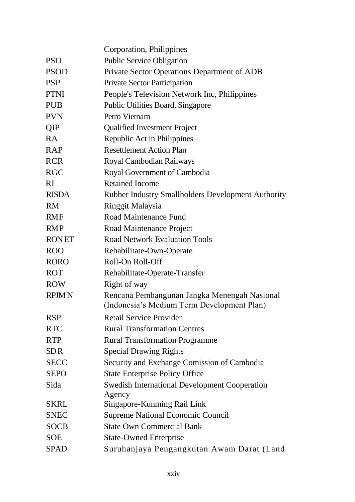|              | Corporation, Philippines                                                                   |
|--------------|--------------------------------------------------------------------------------------------|
| <b>PSO</b>   | <b>Public Service Obligation</b>                                                           |
| <b>PSOD</b>  | Private Sector Operations Department of ADB                                                |
| <b>PSP</b>   | <b>Private Sector Participation</b>                                                        |
| <b>PTNI</b>  | People's Television Network Inc, Philippines                                               |
| <b>PUB</b>   | <b>Public Utilities Board, Singapore</b>                                                   |
| <b>PVN</b>   | Petro Vietnam                                                                              |
| <b>QIP</b>   | <b>Qualified Investment Project</b>                                                        |
| <b>RA</b>    | Republic Act in Philippines                                                                |
| <b>RAP</b>   | <b>Resettlement Action Plan</b>                                                            |
| <b>RCR</b>   | Royal Cambodian Railways                                                                   |
| <b>RGC</b>   | Royal Government of Cambodia                                                               |
| RI           | <b>Retained Income</b>                                                                     |
| <b>RISDA</b> | <b>Rubber Industry Smallholders Development Authority</b>                                  |
| <b>RM</b>    | Ringgit Malaysia                                                                           |
| <b>RMF</b>   | Road Maintenance Fund                                                                      |
| <b>RMP</b>   | Road Maintenance Project                                                                   |
| <b>RONET</b> | <b>Road Network Evaluation Tools</b>                                                       |
| <b>ROO</b>   | Rehabilitate-Own-Operate                                                                   |
| <b>RORO</b>  | Roll-On Roll-Off                                                                           |
| <b>ROT</b>   | Rehabilitate-Operate-Transfer                                                              |
| <b>ROW</b>   | Right of way                                                                               |
| <b>RPJMN</b> | Rencana Pembangunan Jangka Menengah Nasional<br>(Indonesia's Medium Term Development Plan) |
| <b>RSP</b>   | <b>Retail Service Provider</b>                                                             |
| <b>RTC</b>   | <b>Rural Transformation Centres</b>                                                        |
| <b>RTP</b>   | <b>Rural Transformation Programme</b>                                                      |
| <b>SDR</b>   | <b>Special Drawing Rights</b>                                                              |
| <b>SECC</b>  | Security and Exchange Comission of Cambodia                                                |
| <b>SEPO</b>  | <b>State Enterprise Policy Office</b>                                                      |
| Sida         | <b>Swedish International Development Cooperation</b>                                       |
|              | Agency                                                                                     |
| <b>SKRL</b>  | Singapore-Kunming Rail Link                                                                |
| <b>SNEC</b>  | <b>Supreme National Economic Council</b>                                                   |
| <b>SOCB</b>  | <b>State Own Commercial Bank</b>                                                           |
| <b>SOE</b>   | <b>State-Owned Enterprise</b>                                                              |
| <b>SPAD</b>  | Suruhanjaya Pengangkutan Awam Darat (Land                                                  |